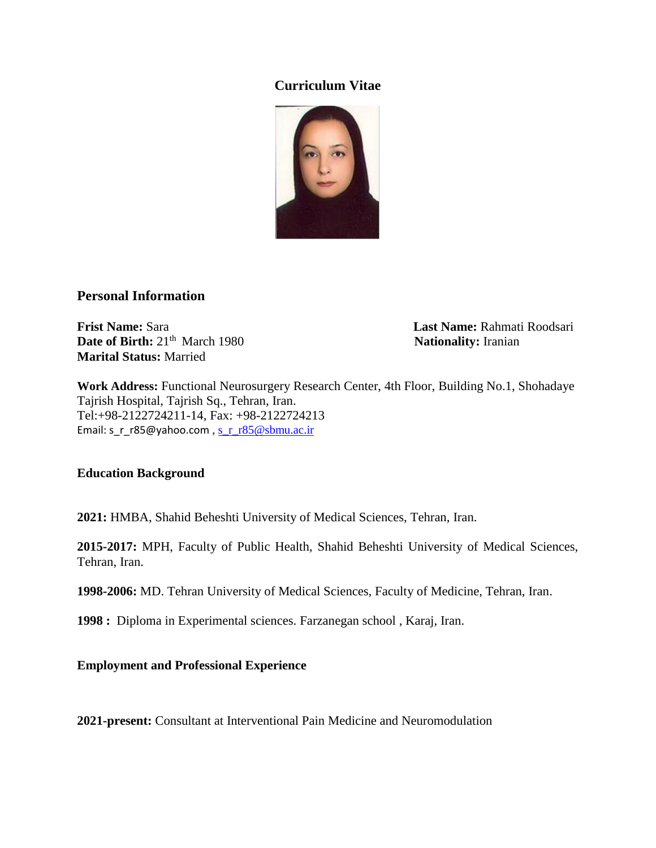# **Curriculum Vitae**



## **Personal Information**

**Frist Name:** Sara **Last Name:** Rahmati Roodsari **Date of Birth:**  $21<sup>th</sup>$  March 1980 **Nationality:** Iranian **Marital Status:** Married

**Work Address:** Functional Neurosurgery Research Center, 4th Floor, Building No.1, Shohadaye Tajrish Hospital, Tajrish Sq., Tehran, Iran. Tel:+98-2122724211-14, Fax: +98-2122724213 Email: s\_r\_r85@yahoo.com, [s\\_r\\_r85@sbmu.ac.ir](mailto:s_r_r85@sbmu.ac.ir)

## **Education Background**

**2021:** HMBA, Shahid Beheshti University of Medical Sciences, Tehran, Iran.

**2015-2017:** MPH, Faculty of Public Health, Shahid Beheshti University of Medical Sciences, Tehran, Iran.

**1998-2006:** MD. Tehran University of Medical Sciences, Faculty of Medicine, Tehran, Iran.

**1998 :** Diploma in Experimental sciences. Farzanegan school , Karaj, Iran.

**Employment and Professional Experience**

**2021-present:** Consultant at Interventional Pain Medicine and Neuromodulation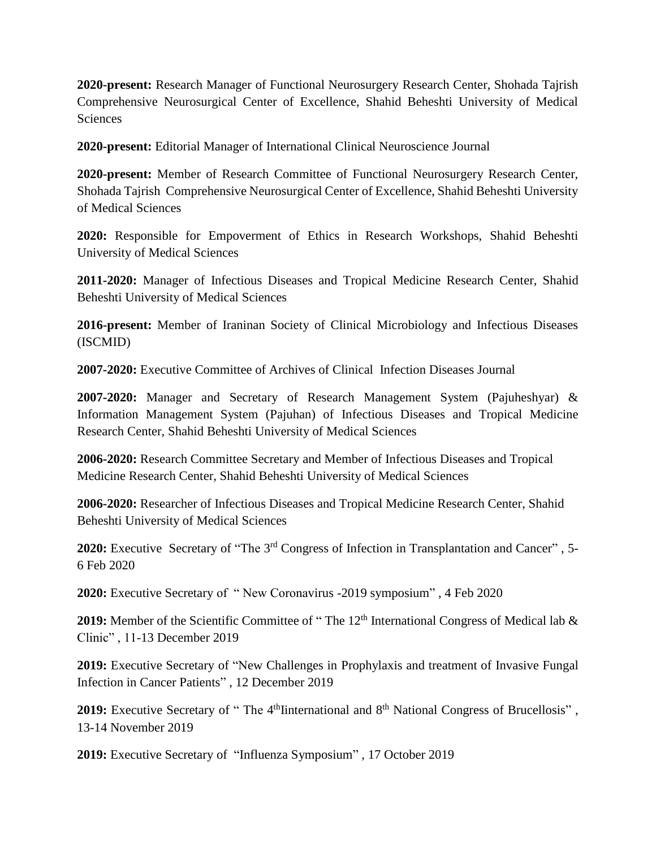**2020-present:** Research Manager of Functional Neurosurgery Research Center, Shohada Tajrish Comprehensive Neurosurgical Center of Excellence, Shahid Beheshti University of Medical Sciences

**2020-present:** Editorial Manager of International Clinical Neuroscience Journal

**2020-present:** Member of Research Committee of Functional Neurosurgery Research Center, Shohada Tajrish Comprehensive Neurosurgical Center of Excellence, Shahid Beheshti University of Medical Sciences

**2020:** Responsible for Empoverment of Ethics in Research Workshops, Shahid Beheshti University of Medical Sciences

**2011-2020:** Manager of Infectious Diseases and Tropical Medicine Research Center, Shahid Beheshti University of Medical Sciences

**2016-present:** Member of Iraninan Society of Clinical Microbiology and Infectious Diseases (ISCMID)

**2007-2020:** Executive Committee of Archives of Clinical Infection Diseases Journal

**2007-2020:** Manager and Secretary of Research Management System (Pajuheshyar) & Information Management System (Pajuhan) of Infectious Diseases and Tropical Medicine Research Center, Shahid Beheshti University of Medical Sciences

**2006-2020:** Research Committee Secretary and Member of Infectious Diseases and Tropical Medicine Research Center, Shahid Beheshti University of Medical Sciences

**2006-2020:** Researcher of Infectious Diseases and Tropical Medicine Research Center, Shahid Beheshti University of Medical Sciences

**2020:** Executive Secretary of "The 3<sup>rd</sup> Congress of Infection in Transplantation and Cancer", 5-6 Feb 2020

**2020:** Executive Secretary of " New Coronavirus -2019 symposium" , 4 Feb 2020

2019: Member of the Scientific Committee of "The 12<sup>th</sup> International Congress of Medical lab & Clinic" , 11-13 December 2019

**2019:** Executive Secretary of "New Challenges in Prophylaxis and treatment of Invasive Fungal Infection in Cancer Patients" , 12 December 2019

**2019:** Executive Secretary of "The 4<sup>th</sup>Iinternational and 8<sup>th</sup> National Congress of Brucellosis", 13-14 November 2019

**2019:** Executive Secretary of "Influenza Symposium" , 17 October 2019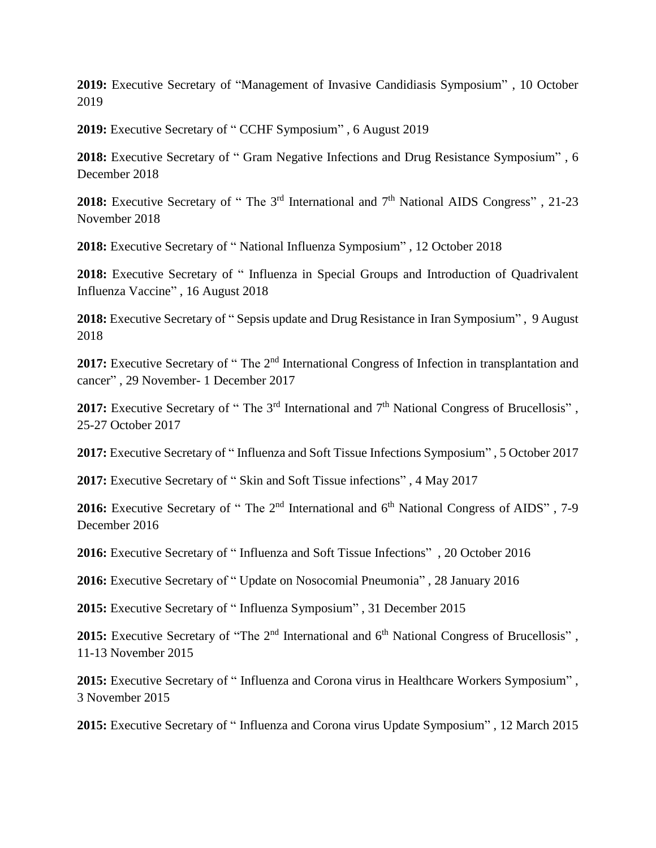**2019:** Executive Secretary of "Management of Invasive Candidiasis Symposium" , 10 October 2019

**2019:** Executive Secretary of " CCHF Symposium" , 6 August 2019

**2018:** Executive Secretary of " Gram Negative Infections and Drug Resistance Symposium" , 6 December 2018

**2018:** Executive Secretary of " The  $3<sup>rd</sup>$  International and  $7<sup>th</sup>$  National AIDS Congress", 21-23 November 2018

**2018:** Executive Secretary of " National Influenza Symposium" , 12 October 2018

**2018:** Executive Secretary of " Influenza in Special Groups and Introduction of Quadrivalent Influenza Vaccine" , 16 August 2018

**2018:** Executive Secretary of " Sepsis update and Drug Resistance in Iran Symposium" , 9 August 2018

**2017:** Executive Secretary of "The 2<sup>nd</sup> International Congress of Infection in transplantation and cancer" , 29 November- 1 December 2017

**2017:** Executive Secretary of "The 3<sup>rd</sup> International and 7<sup>th</sup> National Congress of Brucellosis", 25-27 October 2017

**2017:** Executive Secretary of " Influenza and Soft Tissue Infections Symposium" , 5 October 2017

**2017:** Executive Secretary of " Skin and Soft Tissue infections" , 4 May 2017

**2016:** Executive Secretary of " The 2<sup>nd</sup> International and 6<sup>th</sup> National Congress of AIDS", 7-9 December 2016

**2016:** Executive Secretary of " Influenza and Soft Tissue Infections" , 20 October 2016

**2016:** Executive Secretary of " Update on Nosocomial Pneumonia" , 28 January 2016

**2015:** Executive Secretary of " Influenza Symposium" , 31 December 2015

**2015:** Executive Secretary of "The 2<sup>nd</sup> International and 6<sup>th</sup> National Congress of Brucellosis", 11-13 November 2015

**2015:** Executive Secretary of " Influenza and Corona virus in Healthcare Workers Symposium" , 3 November 2015

**2015:** Executive Secretary of " Influenza and Corona virus Update Symposium" , 12 March 2015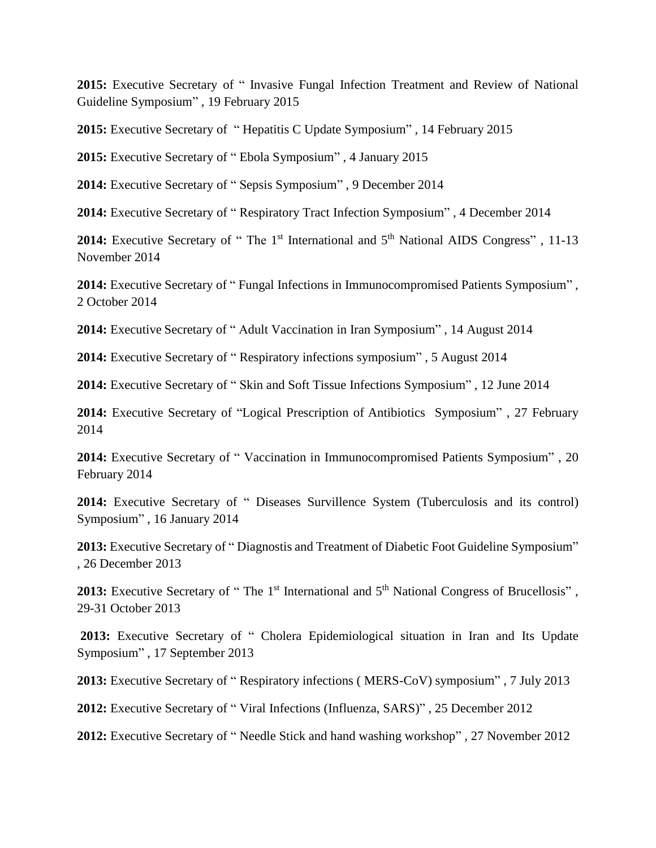**2015:** Executive Secretary of " Invasive Fungal Infection Treatment and Review of National Guideline Symposium" , 19 February 2015

**2015:** Executive Secretary of " Hepatitis C Update Symposium" , 14 February 2015

**2015:** Executive Secretary of " Ebola Symposium" , 4 January 2015

**2014:** Executive Secretary of " Sepsis Symposium" , 9 December 2014

**2014:** Executive Secretary of " Respiratory Tract Infection Symposium" , 4 December 2014

2014: Executive Secretary of " The 1<sup>st</sup> International and 5<sup>th</sup> National AIDS Congress", 11-13 November 2014

**2014:** Executive Secretary of " Fungal Infections in Immunocompromised Patients Symposium" , 2 October 2014

**2014:** Executive Secretary of " Adult Vaccination in Iran Symposium" , 14 August 2014

**2014:** Executive Secretary of " Respiratory infections symposium" , 5 August 2014

**2014:** Executive Secretary of " Skin and Soft Tissue Infections Symposium" , 12 June 2014

**2014:** Executive Secretary of "Logical Prescription of Antibiotics Symposium" , 27 February 2014

**2014:** Executive Secretary of " Vaccination in Immunocompromised Patients Symposium" , 20 February 2014

**2014:** Executive Secretary of " Diseases Survillence System (Tuberculosis and its control) Symposium" , 16 January 2014

**2013:** Executive Secretary of " Diagnostis and Treatment of Diabetic Foot Guideline Symposium" , 26 December 2013

2013: Executive Secretary of "The 1<sup>st</sup> International and 5<sup>th</sup> National Congress of Brucellosis", 29-31 October 2013

**2013:** Executive Secretary of " Cholera Epidemiological situation in Iran and Its Update Symposium" , 17 September 2013

**2013:** Executive Secretary of " Respiratory infections ( MERS-CoV) symposium" , 7 July 2013

**2012:** Executive Secretary of " Viral Infections (Influenza, SARS)" , 25 December 2012

**2012:** Executive Secretary of " Needle Stick and hand washing workshop" , 27 November 2012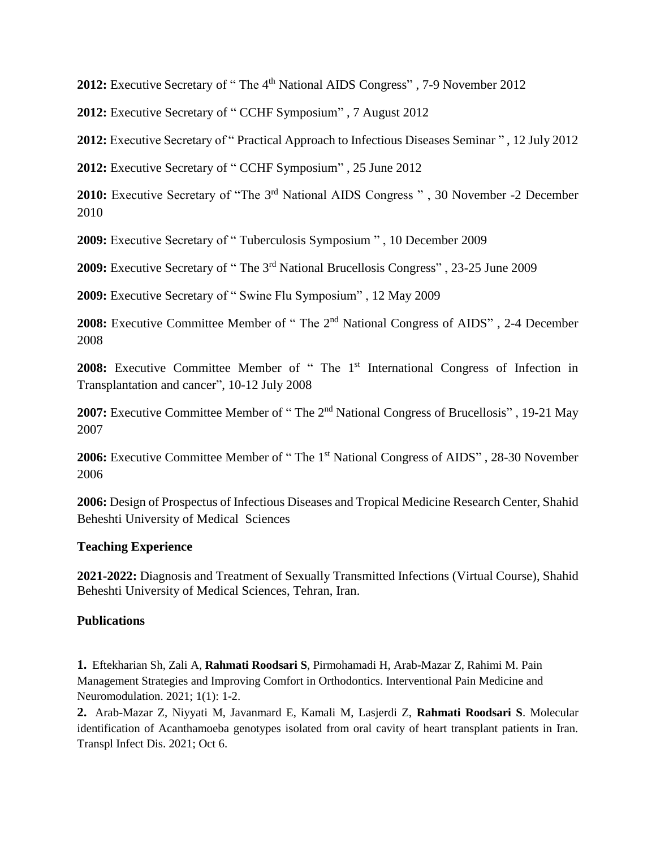2012: Executive Secretary of "The 4<sup>th</sup> National AIDS Congress", 7-9 November 2012

**2012:** Executive Secretary of " CCHF Symposium" , 7 August 2012

**2012:** Executive Secretary of " Practical Approach to Infectious Diseases Seminar " , 12 July 2012

**2012:** Executive Secretary of " CCHF Symposium" , 25 June 2012

2010: Executive Secretary of "The 3<sup>rd</sup> National AIDS Congress", 30 November -2 December 2010

**2009:** Executive Secretary of " Tuberculosis Symposium " , 10 December 2009

**2009:** Executive Secretary of " The 3rd National Brucellosis Congress" , 23-25 June 2009

**2009:** Executive Secretary of " Swine Flu Symposium" , 12 May 2009

2008: Executive Committee Member of "The 2<sup>nd</sup> National Congress of AIDS", 2-4 December 2008

2008: Executive Committee Member of " The 1<sup>st</sup> International Congress of Infection in Transplantation and cancer", 10-12 July 2008

2007: Executive Committee Member of "The 2<sup>nd</sup> National Congress of Brucellosis", 19-21 May 2007

2006: Executive Committee Member of "The 1<sup>st</sup> National Congress of AIDS", 28-30 November 2006

**2006:** Design of Prospectus of Infectious Diseases and Tropical Medicine Research Center, Shahid Beheshti University of Medical Sciences

## **Teaching Experience**

**2021-2022:** Diagnosis and Treatment of Sexually Transmitted Infections (Virtual Course), Shahid Beheshti University of Medical Sciences, Tehran, Iran.

## **Publications**

**1.** Eftekharian Sh, Zali A, **Rahmati Roodsari S**, Pirmohamadi H, Arab-Mazar Z, Rahimi M. Pain Management Strategies and Improving Comfort in Orthodontics. Interventional Pain Medicine and Neuromodulation. 2021; 1(1): 1-2.

**2.** Arab-Mazar Z, Niyyati M, Javanmard E, Kamali M, Lasjerdi Z, **Rahmati Roodsari S**. Molecular identification of Acanthamoeba genotypes isolated from oral cavity of heart transplant patients in Iran. Transpl Infect Dis. 2021; Oct 6.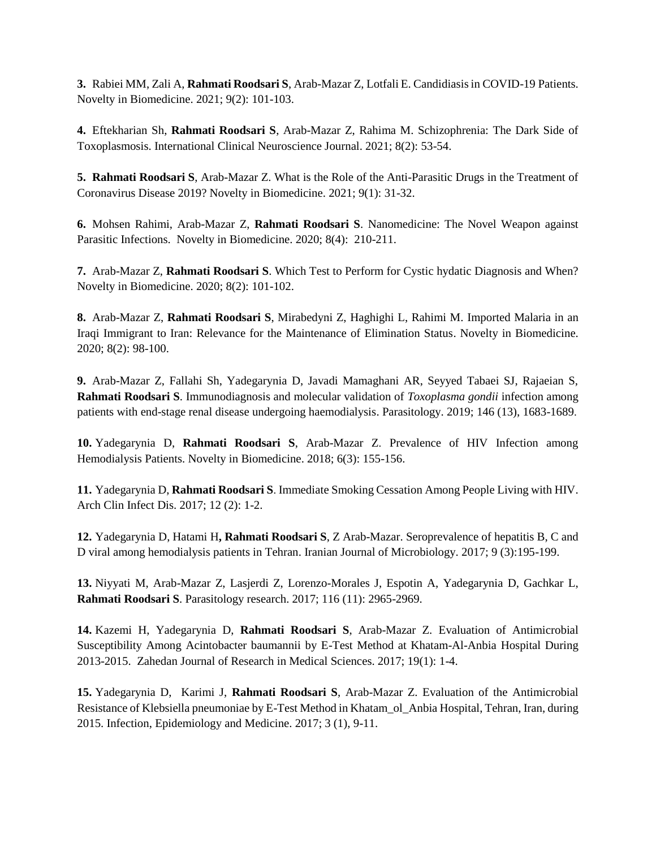**3.** Rabiei MM, Zali A, **Rahmati Roodsari S**, Arab-Mazar Z, Lotfali E. Candidiasis in COVID-19 Patients. Novelty in Biomedicine. 2021; 9(2): 101-103.

**4.** Eftekharian Sh, **Rahmati Roodsari S**, Arab-Mazar Z, Rahima M. Schizophrenia: The Dark Side of Toxoplasmosis. International Clinical Neuroscience Journal. 2021; 8(2): 53-54.

**5. Rahmati Roodsari S**, Arab-Mazar Z. What is the Role of the Anti-Parasitic Drugs in the Treatment of Coronavirus Disease 2019? Novelty in Biomedicine. 2021; 9(1): 31-32.

**6.** Mohsen Rahimi, Arab-Mazar Z, **Rahmati Roodsari S**. Nanomedicine: The Novel Weapon against Parasitic Infections. Novelty in Biomedicine. 2020; 8(4): 210-211.

**7.** Arab-Mazar Z, **Rahmati Roodsari S**. Which Test to Perform for Cystic hydatic Diagnosis and When? Novelty in Biomedicine. 2020; 8(2): 101-102.

**8.** Arab-Mazar Z, **Rahmati Roodsari S**, Mirabedyni Z, Haghighi L, Rahimi M. Imported Malaria in an Iraqi Immigrant to Iran: Relevance for the Maintenance of Elimination Status. Novelty in Biomedicine. 2020; 8(2): 98-100.

**9.** Arab-Mazar Z, Fallahi Sh, Yadegarynia D, Javadi Mamaghani AR, Seyyed Tabaei SJ, Rajaeian S, **Rahmati Roodsari S**. [Immunodiagnosis and molecular validation of](https://www.cambridge.org/core/journals/parasitology/article/immunodiagnosis-and-molecular-validation-of-toxoplasma-gondii-infection-among-patients-with-endstage-renal-disease-undergoing-hemodialysis/AC9194B75144FCCE2C792B705D945C10) *Toxoplasma gondii* infection among [patients with end-stage renal disease undergoing haemodialysis.](https://www.cambridge.org/core/journals/parasitology/article/immunodiagnosis-and-molecular-validation-of-toxoplasma-gondii-infection-among-patients-with-endstage-renal-disease-undergoing-hemodialysis/AC9194B75144FCCE2C792B705D945C10) Parasitology. 2019; 146 (13), 1683-1689.

**10.** Yadegarynia D, **Rahmati Roodsari S**, Arab-Mazar Z. Prevalence of HIV Infection among Hemodialysis Patients. Novelty in Biomedicine. 2018; 6(3): 155-156.

**11.** Yadegarynia D, **Rahmati Roodsari S**. [Immediate Smoking Cessation Among People Living with HIV.](javascript:void(0)) Arch Clin Infect Dis. 2017; 12 (2): 1-2.

**12.** Yadegarynia D, Hatami H**, Rahmati Roodsari S**, Z Arab-Mazar. [Seroprevalence of hepatitis B, C and](javascript:void(0))  [D viral among hemodialysis patients in Tehran.](javascript:void(0)) Iranian Journal of Microbiology. 2017; 9 (3):195-199.

**13.** Niyyati M, Arab-Mazar Z, Lasjerdi Z, Lorenzo-Morales J, Espotin A, Yadegarynia D, Gachkar L, **Rahmati Roodsari S**. Parasitology research. 2017; 116 (11): 2965-2969.

**14.** Kazemi H, Yadegarynia D, **Rahmati Roodsari S**, Arab-Mazar Z. [Evaluation of Antimicrobial](http://zjrms.com/en/articles/6522.html)  [Susceptibility Among Acintobacter baumannii by E-Test Method at Khatam-Al-Anbia Hospital During](http://zjrms.com/en/articles/6522.html)  [2013-2015.](http://zjrms.com/en/articles/6522.html) Zahedan Journal of Research in Medical Sciences. 2017; 19(1): 1-4.

**15.** Yadegarynia D, Karimi J, **Rahmati Roodsari S**, Arab-Mazar Z. [Evaluation of the Antimicrobial](https://scholar.google.com/citations?view_op=view_citation&hl=en&user=W-1uavIAAAAJ&sortby=pubdate&citation_for_view=W-1uavIAAAAJ:HDshCWvjkbEC)  [Resistance of Klebsiella pneumoniae by E-Test Method in Khatam\\_ol\\_Anbia Hospital, Tehran, Iran, during](https://scholar.google.com/citations?view_op=view_citation&hl=en&user=W-1uavIAAAAJ&sortby=pubdate&citation_for_view=W-1uavIAAAAJ:HDshCWvjkbEC)  [2015.](https://scholar.google.com/citations?view_op=view_citation&hl=en&user=W-1uavIAAAAJ&sortby=pubdate&citation_for_view=W-1uavIAAAAJ:HDshCWvjkbEC) Infection, Epidemiology and Medicine. 2017; 3 (1), 9-11.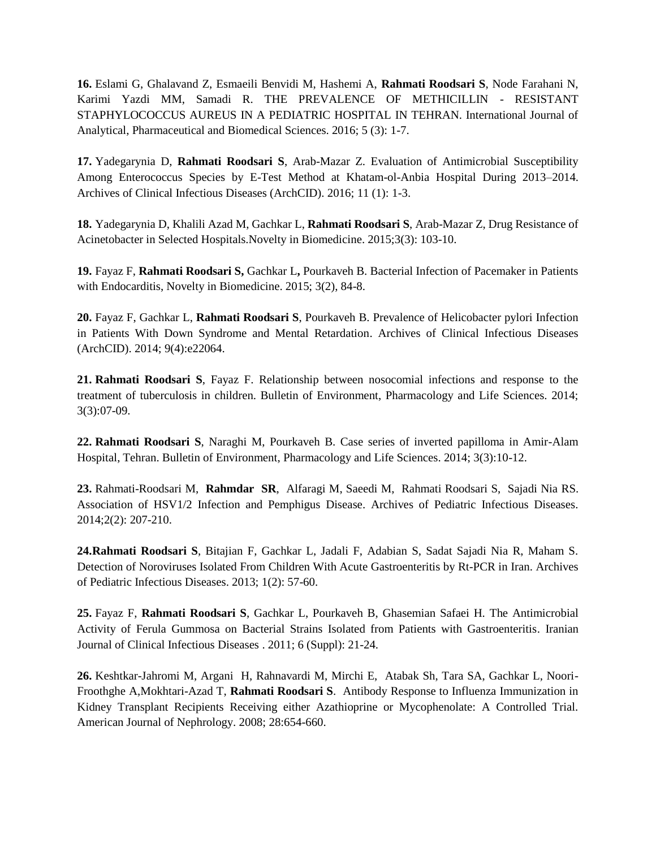**16.** Eslami G, Ghalavand Z, Esmaeili Benvidi M, Hashemi A, **Rahmati Roodsari S**, Node Farahani N, Karimi Yazdi MM, Samadi R. THE PREVALENCE OF METHICILLIN - RESISTANT STAPHYLOCOCCUS AUREUS IN A PEDIATRIC HOSPITAL IN TEHRAN. International Journal of Analytical, Pharmaceutical and Biomedical Sciences. 2016; 5 (3): 1-7.

**17.** Yadegarynia D, **Rahmati Roodsari S**, Arab-Mazar Z. [Evaluation of Antimicrobial Susceptibility](https://scholar.google.com/citations?view_op=view_citation&hl=en&user=elQV_DsAAAAJ&sortby=pubdate&citation_for_view=elQV_DsAAAAJ:_FxGoFyzp5QC)  [Among Enterococcus Species by E-Test Method at Khatam-ol-Anbia Hospital During 2013–2014.](https://scholar.google.com/citations?view_op=view_citation&hl=en&user=elQV_DsAAAAJ&sortby=pubdate&citation_for_view=elQV_DsAAAAJ:_FxGoFyzp5QC) Archives of Clinical Infectious Diseases (ArchCID). 2016; 11 (1): 1-3.

**18.** Yadegarynia D, Khalili Azad M, Gachkar L, **Rahmati Roodsari S**, Arab-Mazar Z, Drug Resistance of Acinetobacter in Selected Hospitals.Novelty in Biomedicine. 2015;3(3): 103-10.

**19.** Fayaz F, **Rahmati Roodsari S,** Gachkar L**,** Pourkaveh B. Bacterial Infection of Pacemaker in Patients with Endocarditis, Novelty in Biomedicine. 2015; 3(2), 84-8.

**20.** Fayaz F, Gachkar L, **Rahmati Roodsari S**, Pourkaveh B. [Prevalence of Helicobacter pylori Infection](http://archcid.com/?page=article&article_id=22064)  [in Patients With Down Syndrome and Mental Retardation.](http://archcid.com/?page=article&article_id=22064) Archives of Clinical Infectious Diseases (ArchCID). 2014; 9(4):e22064.

**21. [Rahmati Roodsari](http://pedinfect.com/?page=search&article_author_fname=Sara&article_author_mname=&article_author_lname=Rahmati%20Roodsari&do_search=1&type=authors) S**, Fayaz F. Relationship between nosocomial infections and response to the treatment of tuberculosis in children. Bulletin of Environment, Pharmacology and Life Sciences. 2014; 3(3):07-09.

**22. [Rahmati Roodsari](http://pedinfect.com/?page=search&article_author_fname=Sara&article_author_mname=&article_author_lname=Rahmati%20Roodsari&do_search=1&type=authors) S**, Naraghi M, Pourkaveh B. Case series of inverted papilloma in Amir-Alam Hospital, Tehran. Bulletin of Environment, Pharmacology and Life Sciences. 2014; 3(3):10-12.

**23.** [Rahmati-Roodsari](http://pedinfect.com/?page=search&article_author_fname=Mohammad&article_author_mname=&article_author_lname=Rahmati-Roodsari&do_search=1&type=authors) M, **[Rahmdar](http://pedinfect.com/?page=search&article_author_fname=Saeid%20Reza&article_author_mname=&article_author_lname=Rahmdar%20&do_search=1&type=authors) SR**, [Alfaragi](http://pedinfect.com/?page=search&article_author_fname=Mohammed&article_author_mname=&article_author_lname=Alfaragi&do_search=1&type=authors) M, [Saeedi](http://pedinfect.com/?page=search&article_author_fname=Mohammad&article_author_mname=&article_author_lname=Saeedi&do_search=1&type=authors) M, [Rahmati Roodsari](http://pedinfect.com/?page=search&article_author_fname=Sara&article_author_mname=&article_author_lname=Rahmati%20Roodsari&do_search=1&type=authors) S, [Sajadi Nia](http://pedinfect.com/?page=search&article_author_fname=Raheleh%20Sadat&article_author_mname=&article_author_lname=Sajadi%20Nia&do_search=1&type=authors) RS. Association of HSV1/2 Infection and Pemphigus Disease. Archives of Pediatric Infectious Diseases. 2014;2(2): 207-210.

**24.Rahmati Roodsari S**, Bitajian F, Gachkar L, Jadali F, Adabian S, Sadat Sajadi Nia R, Maham S. Detection of Noroviruses Isolated From Children With Acute Gastroenteritis by Rt-PCR in Iran. Archives of Pediatric Infectious Diseases. 2013; 1(2): 57-60.

**25.** Fayaz F, **Rahmati Roodsari S**, Gachkar L, Pourkaveh B, Ghasemian Safaei H. [The Antimicrobial](http://journals.sbmu.ac.ir/index.php/ijcid/article/view/3653)  [Activity of Ferula Gummosa on Bacterial Strains Isolated from Patients with Gastroenteritis.](http://journals.sbmu.ac.ir/index.php/ijcid/article/view/3653) [Iranian](http://www.researchgate.net/journal/1735-5109_Iranian_Journal_of_Clinical_Infectious_Diseases)  [Journal of Clinical Infectious Diseases](http://www.researchgate.net/journal/1735-5109_Iranian_Journal_of_Clinical_Infectious_Diseases) . 2011; 6 (Suppl): 21-24.

**26.** Keshtkar-Jahromi M, Argani H, Rahnavardi M, Mirchi E, Atabak Sh, Tara SA, Gachkar L, Noori-Froothghe A,Mokhtari-Azad T, **Rahmati Roodsari S**. Antibody Response to Influenza Immunization in Kidney Transplant Recipients Receiving either Azathioprine or Mycophenolate: A Controlled Trial. American Journal of Nephrology. 2008; 28:654-660.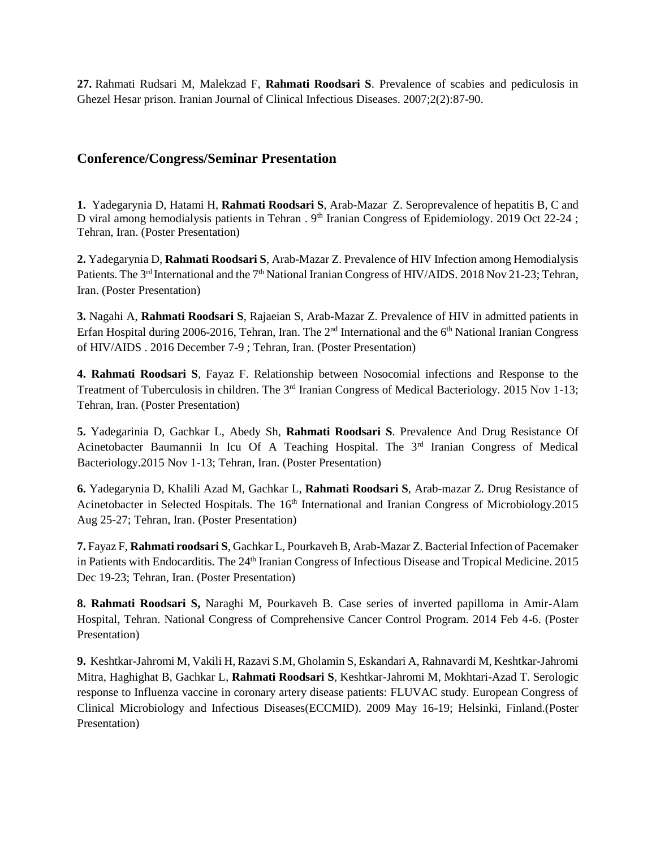**27.** Rahmati Rudsari M, Malekzad F, **Rahmati Roodsari S**. Prevalence of scabies and pediculosis in Ghezel Hesar prison. Iranian Journal of Clinical Infectious Diseases. 2007;2(2):87-90.

## **Conference/Congress/Seminar Presentation**

**1.** Yadegarynia D, Hatami H, **Rahmati Roodsari S**, Arab-Mazar Z. Seroprevalence of hepatitis B, C and D viral among hemodialysis patients in Tehran . 9<sup>th</sup> Iranian Congress of Epidemiology. 2019 Oct 22-24 ; Tehran, Iran. (Poster Presentation)

**2.** Yadegarynia D, **Rahmati Roodsari S**, Arab-Mazar Z. Prevalence of HIV Infection among Hemodialysis Patients. The 3<sup>rd</sup> International and the 7<sup>th</sup> National Iranian Congress of HIV/AIDS. 2018 Nov 21-23; Tehran, Iran. (Poster Presentation)

**3.** Nagahi A, **Rahmati Roodsari S**, Rajaeian S, Arab-Mazar Z. Prevalence of HIV in admitted patients in Erfan Hospital during 2006-2016, Tehran, Iran. The  $2<sup>nd</sup>$  International and the 6<sup>th</sup> National Iranian Congress of HIV/AIDS . 2016 December 7-9 ; Tehran, Iran. (Poster Presentation)

**4. Rahmati Roodsari S**, Fayaz F. Relationship between Nosocomial infections and Response to the Treatment of Tuberculosis in children. The 3<sup>rd</sup> Iranian Congress of Medical Bacteriology. 2015 Nov 1-13; Tehran, Iran. (Poster Presentation)

**5.** Yadegarinia D, Gachkar L, Abedy Sh, **Rahmati Roodsari S**. Prevalence And Drug Resistance Of Acinetobacter Baumannii In Icu Of A Teaching Hospital. The 3<sup>rd</sup> Iranian Congress of Medical Bacteriology.2015 Nov 1-13; Tehran, Iran. (Poster Presentation)

**6.** Yadegarynia D, Khalili Azad M, Gachkar L, **Rahmati Roodsari S**, Arab-mazar Z. Drug Resistance of Acinetobacter in Selected Hospitals. The 16<sup>th</sup> International and Iranian Congress of Microbiology.2015 Aug 25-27; Tehran, Iran. (Poster Presentation)

**7.** Fayaz F, **Rahmati roodsari S**, Gachkar L, Pourkaveh B, Arab-Mazar Z. Bacterial Infection of Pacemaker in Patients with Endocarditis. The 24<sup>th</sup> Iranian Congress of Infectious Disease and Tropical Medicine. 2015 Dec 19-23; Tehran, Iran. (Poster Presentation)

**8. Rahmati Roodsari S,** Naraghi M, Pourkaveh B. Case series of inverted papilloma in Amir-Alam Hospital, Tehran. National Congress of Comprehensive Cancer Control Program. 2014 Feb 4-6. (Poster Presentation)

**9.** Keshtkar-Jahromi M, Vakili H, Razavi S.M, Gholamin S, Eskandari A, Rahnavardi M, Keshtkar-Jahromi Mitra, Haghighat B, Gachkar L, **Rahmati Roodsari S**, Keshtkar-Jahromi M, Mokhtari-Azad T. Serologic response to Influenza vaccine in coronary artery disease patients: FLUVAC study. European Congress of Clinical Microbiology and Infectious Diseases(ECCMID). 2009 May 16-19; Helsinki, Finland.(Poster Presentation)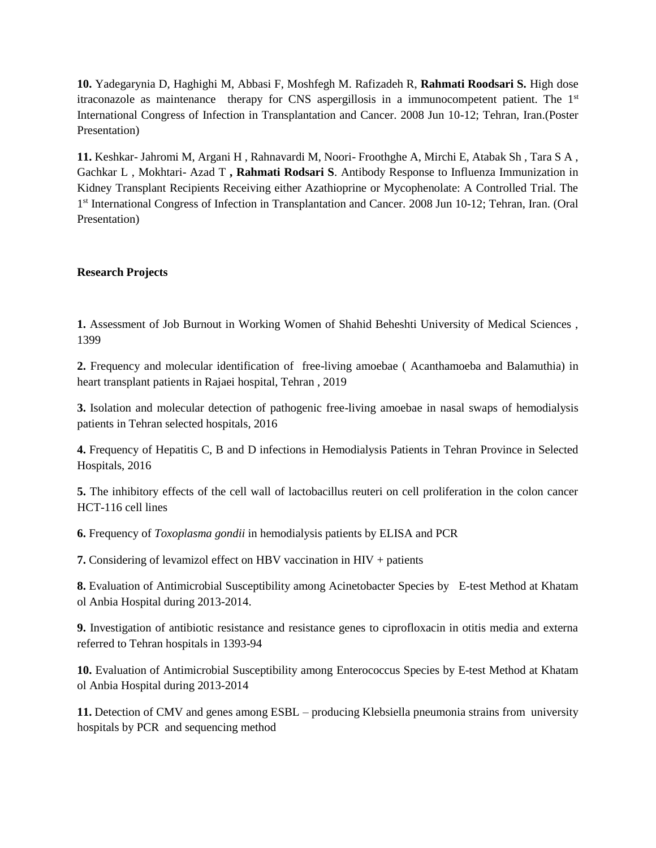**10.** Yadegarynia D, Haghighi M, Abbasi F, Moshfegh M. Rafizadeh R, **Rahmati Roodsari S.** High dose itraconazole as maintenance therapy for CNS aspergillosis in a immunocompetent patient. The  $1<sup>st</sup>$ International Congress of Infection in Transplantation and Cancer. 2008 Jun 10-12; Tehran, Iran.(Poster Presentation)

**11.** Keshkar- Jahromi M, Argani H , Rahnavardi M, Noori- Froothghe A, Mirchi E, Atabak Sh , Tara S A , Gachkar L , Mokhtari- Azad T **, Rahmati Rodsari S**. Antibody Response to Influenza Immunization in Kidney Transplant Recipients Receiving either Azathioprine or Mycophenolate: A Controlled Trial. The 1<sup>st</sup> International Congress of Infection in Transplantation and Cancer. 2008 Jun 10-12; Tehran, Iran. (Oral Presentation)

### **Research Projects**

**1.** Assessment of Job Burnout in Working Women of Shahid Beheshti University of Medical Sciences , 1399

**2.** Frequency and molecular identification of free-living amoebae ( Acanthamoeba and Balamuthia) in heart transplant patients in Rajaei hospital, Tehran , 2019

**3.** Isolation and molecular detection of pathogenic free-living amoebae in nasal swaps of hemodialysis patients in Tehran selected hospitals, 2016

**4.** Frequency of Hepatitis C, B and D infections in Hemodialysis Patients in Tehran Province in Selected Hospitals, 2016

**5.** The inhibitory effects of the cell wall of lactobacillus reuteri on cell proliferation in the colon cancer HCT-116 cell lines

**6.** Frequency of *Toxoplasma gondii* in hemodialysis patients by ELISA and PCR

**7.** Considering of levamizol effect on HBV vaccination in HIV + patients

**8.** Evaluation of Antimicrobial Susceptibility among Acinetobacter Species by E-test Method at Khatam ol Anbia Hospital during 2013-2014.

**9.** Investigation of antibiotic resistance and resistance genes to ciprofloxacin in otitis media and externa referred to Tehran hospitals in 1393-94

**10.** Evaluation of Antimicrobial Susceptibility among Enterococcus Species by E-test Method at Khatam ol Anbia Hospital during 2013-2014

**11.** Detection of CMV and genes among ESBL – producing Klebsiella pneumonia strains from university hospitals by PCR and sequencing method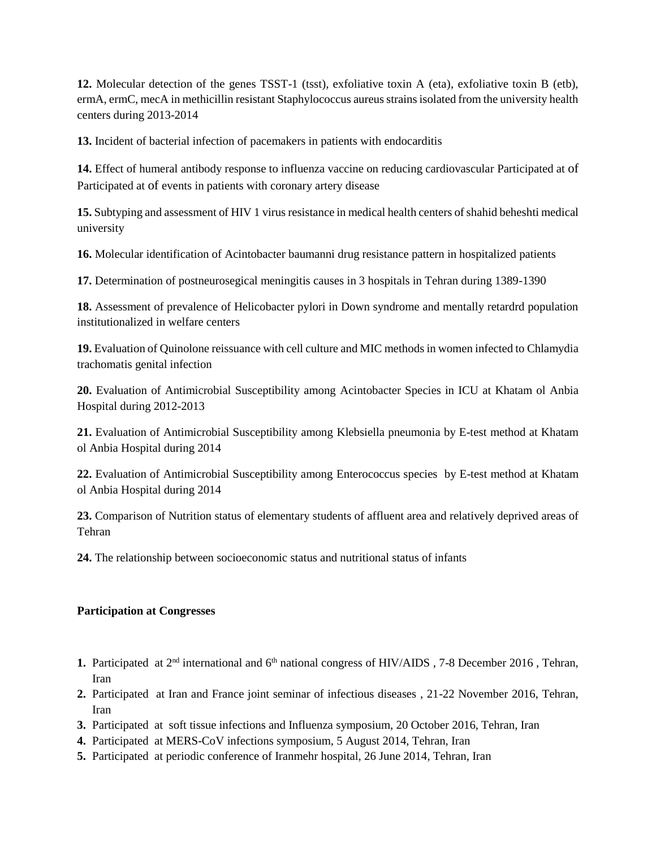**12.** Molecular detection of the genes TSST-1 (tsst), exfoliative toxin A (eta), exfoliative toxin B (etb), ermA, ermC, mecA in methicillin resistant Staphylococcus aureus strains isolated from the university health centers during 2013-2014

**13.** Incident of bacterial infection of pacemakers in patients with endocarditis

**14.** Effect of humeral antibody response to influenza vaccine on reducing cardiovascular Participated at of Participated at of events in patients with coronary artery disease

**15.** Subtyping and assessment of HIV 1 virus resistance in medical health centers of shahid beheshti medical university

**16.** Molecular identification of Acintobacter baumanni drug resistance pattern in hospitalized patients

**17.** Determination of postneurosegical meningitis causes in 3 hospitals in Tehran during 1389-1390

**18.** Assessment of prevalence of Helicobacter pylori in Down syndrome and mentally retardrd population institutionalized in welfare centers

**19.** Evaluation of Quinolone reissuance with cell culture and MIC methods in women infected to Chlamydia trachomatis genital infection

**20.** Evaluation of Antimicrobial Susceptibility among Acintobacter Species in ICU at Khatam ol Anbia Hospital during 2012-2013

**21.** Evaluation of Antimicrobial Susceptibility among Klebsiella pneumonia by E-test method at Khatam ol Anbia Hospital during 2014

**22.** Evaluation of Antimicrobial Susceptibility among Enterococcus species by E-test method at Khatam ol Anbia Hospital during 2014

**23.** Comparison of Nutrition status of elementary students of affluent area and relatively deprived areas of Tehran

**24.** The relationship between socioeconomic status and nutritional status of infants

### **Participation at Congresses**

- 1. Participated at 2<sup>nd</sup> international and 6<sup>th</sup> national congress of HIV/AIDS, 7-8 December 2016, Tehran, Iran
- **2.** Participated at Iran and France joint seminar of infectious diseases , 21-22 November 2016, Tehran, Iran
- **3.** Participated at soft tissue infections and Influenza symposium, 20 October 2016, Tehran, Iran
- **4.** Participated at MERS-CoV infections symposium, 5 August 2014, Tehran, Iran
- **5.** Participated at periodic conference of Iranmehr hospital, 26 June 2014, Tehran, Iran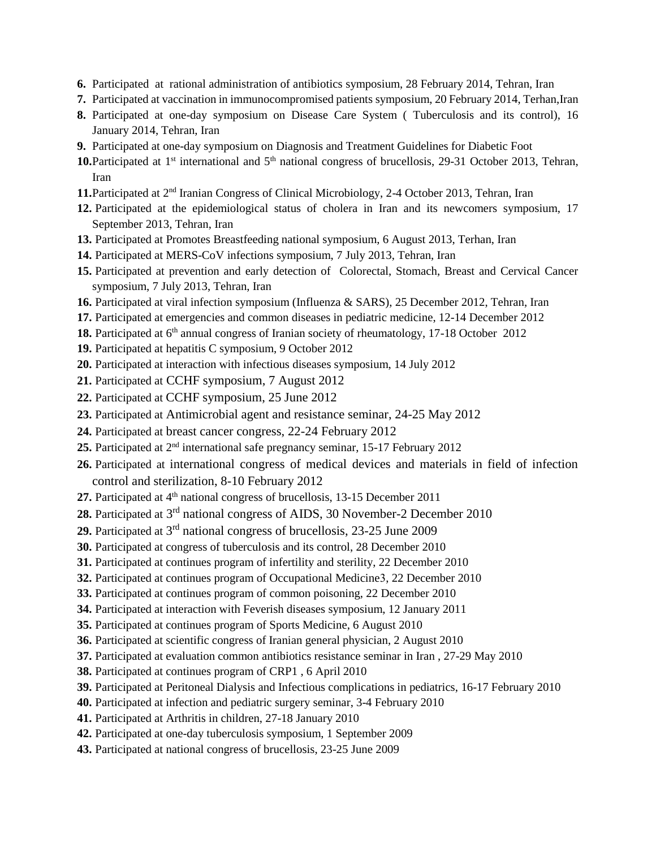- **6.** Participated at rational administration of antibiotics symposium, 28 February 2014, Tehran, Iran
- **7.** Participated at vaccination in immunocompromised patients symposium, 20 February 2014, Terhan,Iran
- **8.** Participated at one-day symposium on Disease Care System ( Tuberculosis and its control), 16 January 2014, Tehran, Iran
- **9.** Participated at one-day symposium on Diagnosis and Treatment Guidelines for Diabetic Foot
- **10.**Participated at  $1<sup>st</sup>$  international and  $5<sup>th</sup>$  national congress of brucellosis, 29-31 October 2013, Tehran, Iran
- **11.**Participated at 2nd Iranian Congress of Clinical Microbiology, 2-4 October 2013, Tehran, Iran
- **12.** Participated at the epidemiological status of cholera in Iran and its newcomers symposium, 17 September 2013, Tehran, Iran
- **13.** Participated at Promotes Breastfeeding national symposium, 6 August 2013, Terhan, Iran
- **14.** Participated at MERS-CoV infections symposium, 7 July 2013, Tehran, Iran
- **15.** Participated at prevention and early detection of Colorectal, Stomach, Breast and Cervical Cancer symposium, 7 July 2013, Tehran, Iran
- **16.** Participated at viral infection symposium (Influenza & SARS), 25 December 2012, Tehran, Iran
- **17.** Participated at emergencies and common diseases in pediatric medicine, 12-14 December 2012
- 18. Participated at 6<sup>th</sup> annual congress of Iranian society of rheumatology, 17-18 October 2012
- **19.** Participated at hepatitis C symposium, 9 October 2012
- **20.** Participated at interaction with infectious diseases symposium, 14 July 2012
- **21.** Participated at CCHF symposium, 7 August 2012
- **22.** Participated at CCHF symposium, 25 June 2012
- **23.** Participated at Antimicrobial agent and resistance seminar, 24-25 May 2012
- **24.** Participated at breast cancer congress, 22-24 February 2012
- **25.** Participated at 2nd international safe pregnancy seminar, 15-17 February 2012
- **26.** Participated at international congress of medical devices and materials in field of infection control and sterilization, 8-10 February 2012
- 27. Participated at 4<sup>th</sup> national congress of brucellosis, 13-15 December 2011
- 28. Participated at 3<sup>rd</sup> national congress of AIDS, 30 November-2 December 2010
- **29.** Participated at 3 rd national congress of brucellosis, 23-25 June 2009
- **30.** Participated at congress of tuberculosis and its control, 28 December 2010
- **31.** Participated at continues program of infertility and sterility, 22 December 2010
- **32.** Participated at continues program of Occupational Medicine3, 22 December 2010
- **33.** Participated at continues program of common poisoning, 22 December 2010
- **34.** Participated at interaction with Feverish diseases symposium, 12 January 2011
- **35.** Participated at continues program of Sports Medicine, 6 August 2010
- **36.** Participated at scientific congress of Iranian general physician, 2 August 2010
- **37.** Participated at evaluation common antibiotics resistance seminar in Iran , 27-29 May 2010
- **38.** Participated at continues program of CRP1 , 6 April 2010
- **39.** Participated at Peritoneal Dialysis and Infectious complications in pediatrics, 16-17 February 2010
- **40.** Participated at infection and pediatric surgery seminar, 3-4 February 2010
- **41.** Participated at Arthritis in children, 27-18 January 2010
- **42.** Participated at one-day tuberculosis symposium, 1 September 2009
- **43.** Participated at national congress of brucellosis, 23-25 June 2009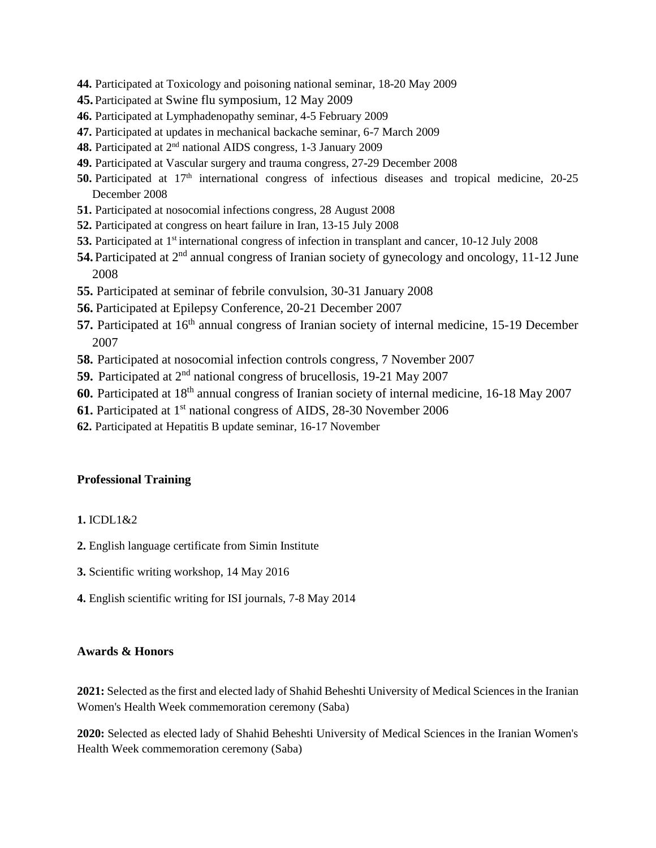- **44.** Participated at Toxicology and poisoning national seminar, 18-20 May 2009
- **45.** Participated at Swine flu symposium, 12 May 2009
- **46.** Participated at Lymphadenopathy seminar, 4-5 February 2009
- **47.** Participated at updates in mechanical backache seminar, 6-7 March 2009
- **48.** Participated at 2nd national AIDS congress, 1-3 January 2009
- **49.** Participated at Vascular surgery and trauma congress, 27-29 December 2008
- **50.** Participated at 17<sup>th</sup> international congress of infectious diseases and tropical medicine, 20-25 December 2008
- **51.** Participated at nosocomial infections congress, 28 August 2008
- **52.** Participated at congress on heart failure in Iran, 13-15 July 2008
- **53.** Participated at 1st international congress of infection in transplant and cancer, 10-12 July 2008
- **54.** Participated at 2nd annual congress of Iranian society of gynecology and oncology, 11-12 June 2008
- **55.** Participated at seminar of febrile convulsion, 30-31 January 2008
- **56.** Participated at Epilepsy Conference, 20-21 December 2007
- **57.** Participated at 16<sup>th</sup> annual congress of Iranian society of internal medicine, 15-19 December 2007
- **58.** Participated at nosocomial infection controls congress, 7 November 2007
- **59.** Participated at 2nd national congress of brucellosis, 19-21 May 2007
- **60.** Participated at 18th annual congress of Iranian society of internal medicine, 16-18 May 2007
- **61.** Participated at 1<sup>st</sup> national congress of AIDS, 28-30 November 2006
- **62.** Participated at Hepatitis B update seminar, 16-17 November

### **Professional Training**

#### **1.** ICDL1&2

- **2.** English language certificate from Simin Institute
- **3.** Scientific writing workshop, 14 May 2016
- **4.** English scientific writing for ISI journals, 7-8 May 2014

#### **Awards & Honors**

**2021:** Selected as the first and elected lady of Shahid Beheshti University of Medical Sciences in the Iranian Women's Health Week commemoration ceremony (Saba)

**2020:** Selected as elected lady of Shahid Beheshti University of Medical Sciences in the Iranian Women's Health Week commemoration ceremony (Saba)